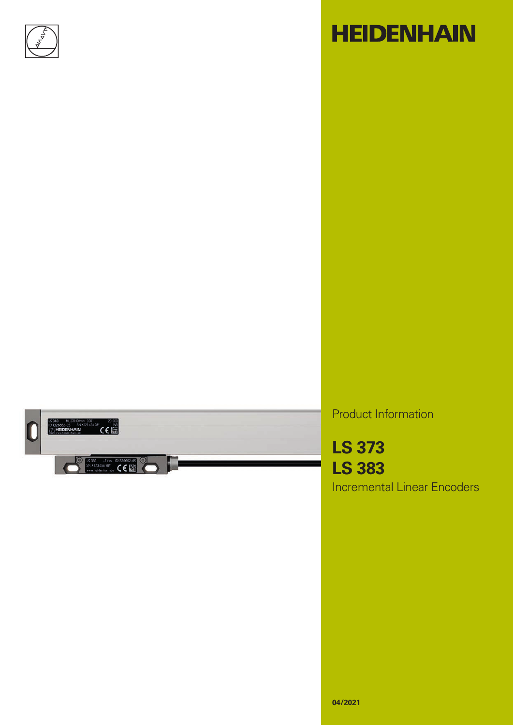

# **HEIDENHAIN**



Product Information

**LS 373 LS 383** Incremental Linear Encoders

**04/2021**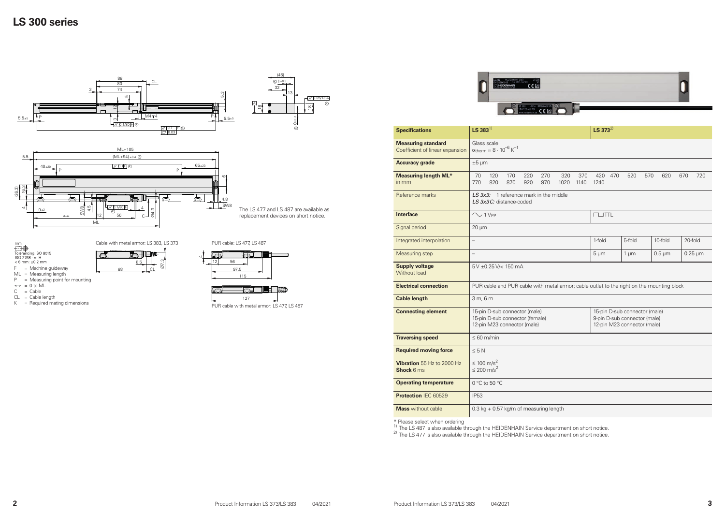#### **LS 300 series**





|                                                              |                                                                                                                                                                                                 | <b>HEIDENHAIN</b>                                                                         | SN X123 456 789<br><b>CE圖</b>                                       |            |             |             |              |     |                          |     |     |     |                           |     |  |
|--------------------------------------------------------------|-------------------------------------------------------------------------------------------------------------------------------------------------------------------------------------------------|-------------------------------------------------------------------------------------------|---------------------------------------------------------------------|------------|-------------|-------------|--------------|-----|--------------------------|-----|-----|-----|---------------------------|-----|--|
| <b>Specifications</b>                                        | $LS$ 383 <sup>1)</sup>                                                                                                                                                                          |                                                                                           | S 383 - IVss ID1326662-05<br>N X123 456 789<br>new.heidenhain.de CC |            |             |             | $LS 373^{2}$ |     |                          |     |     |     |                           |     |  |
| <b>Measuring standard</b><br>Coefficient of linear expansion | Glass scale<br>$\alpha_{\text{therm}} \approx 8 \cdot 10^{-6} \text{ K}^{-1}$                                                                                                                   |                                                                                           |                                                                     |            |             |             |              |     |                          |     |     |     |                           |     |  |
| <b>Accuracy grade</b>                                        | $±5 \mu m$                                                                                                                                                                                      |                                                                                           |                                                                     |            |             |             |              |     |                          |     |     |     |                           |     |  |
| <b>Measuring length ML*</b><br>in mm                         | 70<br>120<br>770<br>820                                                                                                                                                                         | 170<br>870                                                                                | 220<br>920                                                          | 270<br>970 | 320<br>1020 | 370<br>1140 | 420<br>1240  | 470 | 520                      | 570 | 620 | 670 |                           | 720 |  |
| Reference marks                                              |                                                                                                                                                                                                 | $LS 3x3$ : 1 reference mark in the middle<br>LS 3x3C: distance-coded                      |                                                                     |            |             |             |              |     |                          |     |     |     |                           |     |  |
| <b>Interface</b>                                             | $\sim$ 1 V <sub>PP</sub>                                                                                                                                                                        |                                                                                           |                                                                     |            |             |             |              |     | TL                       |     |     |     |                           |     |  |
| Signal period                                                | $20 \mu m$                                                                                                                                                                                      |                                                                                           |                                                                     |            |             |             |              |     |                          |     |     |     |                           |     |  |
| Integrated interpolation                                     | $\qquad \qquad -$                                                                                                                                                                               |                                                                                           |                                                                     |            |             |             |              |     | 5-fold<br>10-fold        |     |     |     | 20-fold                   |     |  |
| <b>Measuring step</b>                                        | $\overline{\phantom{0}}$                                                                                                                                                                        |                                                                                           |                                                                     |            |             |             | $5 \mu m$    |     | $0.5 \mu m$<br>$1 \mu m$ |     |     |     | $0.25 \,\mathrm{\upmu m}$ |     |  |
| <b>Supply voltage</b><br><b>Without load</b>                 | 5 V ± 0.25 V/ < 150 mA                                                                                                                                                                          |                                                                                           |                                                                     |            |             |             |              |     |                          |     |     |     |                           |     |  |
| <b>Electrical connection</b>                                 |                                                                                                                                                                                                 | PUR cable and PUR cable with metal armor; cable outlet to the right on the mounting block |                                                                     |            |             |             |              |     |                          |     |     |     |                           |     |  |
| <b>Cable length</b>                                          | 3m, 6m                                                                                                                                                                                          |                                                                                           |                                                                     |            |             |             |              |     |                          |     |     |     |                           |     |  |
| <b>Connecting element</b>                                    | 15-pin D-sub connector (male)<br>15-pin D-sub connector (male)<br>15-pin D-sub connector (female)<br>9-pin D-sub connector (male)<br>12-pin M23 connector (male)<br>12-pin M23 connector (male) |                                                                                           |                                                                     |            |             |             |              |     |                          |     |     |     |                           |     |  |
| <b>Traversing speed</b>                                      |                                                                                                                                                                                                 | $\leq 60$ m/min                                                                           |                                                                     |            |             |             |              |     |                          |     |     |     |                           |     |  |
| <b>Required moving force</b>                                 | $\leq 5 N$                                                                                                                                                                                      |                                                                                           |                                                                     |            |             |             |              |     |                          |     |     |     |                           |     |  |
| Vibration 55 Hz to 2000 Hz<br>Shock 6 ms                     | ≤ 100 m/s <sup>2</sup><br>≤ 200 m/s <sup>2</sup>                                                                                                                                                |                                                                                           |                                                                     |            |             |             |              |     |                          |     |     |     |                           |     |  |
| <b>Operating temperature</b>                                 | 0 °C to 50 °C                                                                                                                                                                                   |                                                                                           |                                                                     |            |             |             |              |     |                          |     |     |     |                           |     |  |
| Protection IEC 60529                                         | <b>IP53</b>                                                                                                                                                                                     |                                                                                           |                                                                     |            |             |             |              |     |                          |     |     |     |                           |     |  |
| <b>Mass</b> without cable                                    | 0.3 kg + 0.57 kg/m of measuring length                                                                                                                                                          |                                                                                           |                                                                     |            |             |             |              |     |                          |     |     |     |                           |     |  |
|                                                              |                                                                                                                                                                                                 |                                                                                           |                                                                     |            |             |             |              |     |                          |     |     |     |                           |     |  |

1) The LS 487 is also available through the HEIDENHAIN Service department on short notice.<br><sup>2)</sup> The LS 477 is also available through the HEIDENHAIN Service department on short notice.

| <b>Specifications</b>                                        | $LS 383^{1}$                                                                                                                                                                                    | $LS 373^{2}$                                           |  |  |  |  |  |  |  |  |  |
|--------------------------------------------------------------|-------------------------------------------------------------------------------------------------------------------------------------------------------------------------------------------------|--------------------------------------------------------|--|--|--|--|--|--|--|--|--|
| <b>Measuring standard</b><br>Coefficient of linear expansion | Glass scale<br>$\alpha_{\text{therm}} \approx 8 \cdot 10^{-6} \text{ K}^{-1}$                                                                                                                   |                                                        |  |  |  |  |  |  |  |  |  |
| <b>Accuracy grade</b>                                        | $±5 \mu m$                                                                                                                                                                                      |                                                        |  |  |  |  |  |  |  |  |  |
| <b>Measuring length ML*</b><br>in mm                         | 70<br>120<br>170<br>220<br>320<br>270<br>370<br>770<br>820<br>870<br>920<br>970<br>1020<br>1140                                                                                                 | 420<br>520<br>570<br>620<br>470<br>$6^{\circ}$<br>1240 |  |  |  |  |  |  |  |  |  |
| Reference marks                                              | LS $3x3$ : 1 reference mark in the middle<br>LS 3x3C: distance-coded                                                                                                                            |                                                        |  |  |  |  |  |  |  |  |  |
| <b>Interface</b>                                             | $\sim$ 1 V <sub>PP</sub>                                                                                                                                                                        | $T \cup TTL$                                           |  |  |  |  |  |  |  |  |  |
| Signal period                                                | $20 \mu m$                                                                                                                                                                                      |                                                        |  |  |  |  |  |  |  |  |  |
| Integrated interpolation                                     | $\qquad \qquad -$                                                                                                                                                                               | 1-fold<br>5-fold<br>10-fold                            |  |  |  |  |  |  |  |  |  |
| Measuring step                                               | $\overline{\phantom{0}}$                                                                                                                                                                        | $5 \mu m$<br>$0.5 \,\mathrm{\upmu m}$<br>$1 \mu m$     |  |  |  |  |  |  |  |  |  |
| <b>Supply voltage</b><br><b>Without load</b>                 | 5 V ± 0.25 V/ < 150 mA                                                                                                                                                                          |                                                        |  |  |  |  |  |  |  |  |  |
| <b>Electrical connection</b>                                 | PUR cable and PUR cable with metal armor; cable outlet to the right on the mounting block                                                                                                       |                                                        |  |  |  |  |  |  |  |  |  |
| <b>Cable length</b>                                          | 3 m, 6 m                                                                                                                                                                                        |                                                        |  |  |  |  |  |  |  |  |  |
| <b>Connecting element</b>                                    | 15-pin D-sub connector (male)<br>15-pin D-sub connector (male)<br>15-pin D-sub connector (female)<br>9-pin D-sub connector (male)<br>12-pin M23 connector (male)<br>12-pin M23 connector (male) |                                                        |  |  |  |  |  |  |  |  |  |
| <b>Traversing speed</b>                                      | $\leq 60$ m/min                                                                                                                                                                                 |                                                        |  |  |  |  |  |  |  |  |  |
| <b>Required moving force</b>                                 | $\leq 5 N$                                                                                                                                                                                      |                                                        |  |  |  |  |  |  |  |  |  |
| Vibration 55 Hz to 2000 Hz<br><b>Shock 6 ms</b>              | ≤ 100 m/s <sup>2</sup><br>≤ 200 m/s <sup>2</sup>                                                                                                                                                |                                                        |  |  |  |  |  |  |  |  |  |
| <b>Operating temperature</b>                                 | 0 °C to 50 °C                                                                                                                                                                                   |                                                        |  |  |  |  |  |  |  |  |  |
| Protection IEC 60529                                         | <b>IP53</b>                                                                                                                                                                                     |                                                        |  |  |  |  |  |  |  |  |  |
| <b>Mass</b> without cable                                    | $0.3$ kg + 0.57 kg/m of measuring length                                                                                                                                                        |                                                        |  |  |  |  |  |  |  |  |  |

\* Please select when ordering